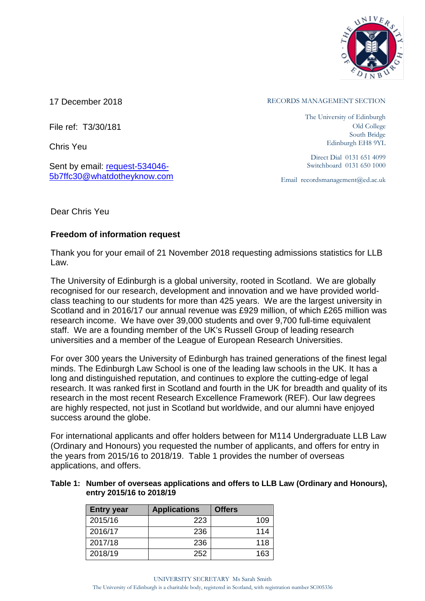

File ref: T3/30/181

Chris Yeu

Sent by email: [request-534046-](mailto:xxxxxxxxxxxxxxxxxxxxxxx@xxxxxxxxxxxxxx.xxx) [5b7ffc30@whatdotheyknow.com](mailto:xxxxxxxxxxxxxxxxxxxxxxx@xxxxxxxxxxxxxx.xxx)

17 December 2018 **RECORDS MANAGEMENT SECTION** 

The University of Edinburgh Old College South Bridge Edinburgh EH8 9YL

Direct Dial 0131 651 4099 Switchboard 0131 650 1000

Email recordsmanagement@ed.ac.uk

Dear Chris Yeu

## **Freedom of information request**

Thank you for your email of 21 November 2018 requesting admissions statistics for LLB Law.

The University of Edinburgh is a global university, rooted in Scotland. We are globally recognised for our research, development and innovation and we have provided worldclass teaching to our students for more than 425 years. We are the largest university in Scotland and in 2016/17 our annual revenue was £929 million, of which £265 million was research income. We have over 39,000 students and over 9,700 full-time equivalent staff. We are a founding member of the UK's Russell Group of leading research universities and a member of the League of European Research Universities.

For over 300 years the University of Edinburgh has trained generations of the finest legal minds. The Edinburgh Law School is one of the leading law schools in the UK. It has a long and distinguished reputation, and continues to explore the cutting-edge of legal research. It was ranked first in Scotland and fourth in the UK for breadth and quality of its research in the most recent Research Excellence Framework (REF). Our law degrees are highly respected, not just in Scotland but worldwide, and our alumni have enjoyed success around the globe.

For international applicants and offer holders between for M114 Undergraduate LLB Law (Ordinary and Honours) you requested the number of applicants, and offers for entry in the years from 2015/16 to 2018/19. Table 1 provides the number of overseas applications, and offers.

## **Table 1: Number of overseas applications and offers to LLB Law (Ordinary and Honours), entry 2015/16 to 2018/19**

| <b>Entry year</b> | <b>Applications</b> | <b>Offers</b> |
|-------------------|---------------------|---------------|
| 2015/16           | 223                 | 109           |
| 2016/17           | 236                 | 114           |
| 2017/18           | 236                 | 118           |
| 2018/19           | 252                 | 163           |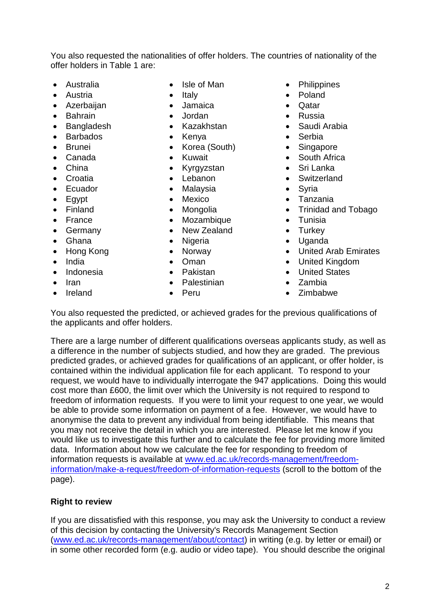You also requested the nationalities of offer holders. The countries of nationality of the offer holders in Table 1 are:

- Australia
- Austria
- Azerbaijan
- Bahrain
- Bangladesh
- Barbados
- Brunei
- Canada
- China
- Croatia
- Ecuador
- Egypt
- Finland
- France
- Germany
- Ghana
- Hong Kong
- India
- Indonesia
- Iran
- Ireland
- Isle of Man
- Italy
- Jamaica
- Jordan
- Kazakhstan
- Kenya
- Korea (South)
- Kuwait
- Kyrgyzstan
- Lebanon
- Malaysia
- Mexico
- Mongolia
- Mozambique
- New Zealand
- Nigeria
- Norway
- Oman
- Pakistan
- Palestinian
- Peru
- Philippines
- Poland
- Qatar
- Russia
- Saudi Arabia
- Serbia
- Singapore
- South Africa
- Sri Lanka
- Switzerland
- Syria
- Tanzania
- Trinidad and Tobago
- Tunisia
- Turkey
- Uganda
- United Arab Emirates
- United Kingdom
- United States
- Zambia
- Zimbabwe

You also requested the predicted, or achieved grades for the previous qualifications of the applicants and offer holders.

There are a large number of different qualifications overseas applicants study, as well as a difference in the number of subjects studied, and how they are graded. The previous predicted grades, or achieved grades for qualifications of an applicant, or offer holder, is contained within the individual application file for each applicant. To respond to your request, we would have to individually interrogate the 947 applications. Doing this would cost more than £600, the limit over which the University is not required to respond to freedom of information requests. If you were to limit your request to one year, we would be able to provide some information on payment of a fee. However, we would have to anonymise the data to prevent any individual from being identifiable. This means that you may not receive the detail in which you are interested. Please let me know if you would like us to investigate this further and to calculate the fee for providing more limited data. Information about how we calculate the fee for responding to freedom of information requests is available at [www.ed.ac.uk/records-management/freedom](https://www.ed.ac.uk/records-management/freedom-information/make-a-request/freedom-of-information-requests)[information/make-a-request/freedom-of-information-requests](https://www.ed.ac.uk/records-management/freedom-information/make-a-request/freedom-of-information-requests) (scroll to the bottom of the page).

## **Right to review**

If you are dissatisfied with this response, you may ask the University to conduct a review of this decision by contacting the University's Records Management Section [\(www.ed.ac.uk/records-management/about/contact\)](http://www.ed.ac.uk/records-management/about/contact) in writing (e.g. by letter or email) or in some other recorded form (e.g. audio or video tape). You should describe the original